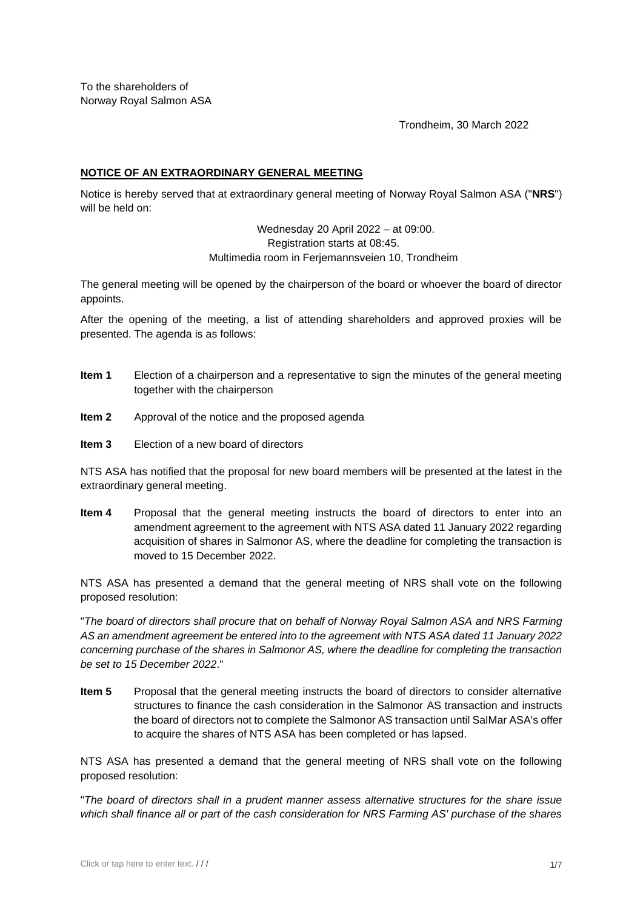To the shareholders of Norway Royal Salmon ASA

Trondheim, 30 March 2022

## **NOTICE OF AN EXTRAORDINARY GENERAL MEETING**

Notice is hereby served that at extraordinary general meeting of Norway Royal Salmon ASA ("**NRS**") will be held on:

> Wednesday 20 April 2022 – at 09:00. Registration starts at 08:45. Multimedia room in Ferjemannsveien 10, Trondheim

The general meeting will be opened by the chairperson of the board or whoever the board of director appoints.

After the opening of the meeting, a list of attending shareholders and approved proxies will be presented. The agenda is as follows:

- **Item 1** Election of a chairperson and a representative to sign the minutes of the general meeting together with the chairperson
- **Item 2** Approval of the notice and the proposed agenda
- **Item 3** Election of a new board of directors

NTS ASA has notified that the proposal for new board members will be presented at the latest in the extraordinary general meeting.

**Item 4** Proposal that the general meeting instructs the board of directors to enter into an amendment agreement to the agreement with NTS ASA dated 11 January 2022 regarding acquisition of shares in Salmonor AS, where the deadline for completing the transaction is moved to 15 December 2022.

NTS ASA has presented a demand that the general meeting of NRS shall vote on the following proposed resolution:

"*The board of directors shall procure that on behalf of Norway Royal Salmon ASA and NRS Farming AS an amendment agreement be entered into to the agreement with NTS ASA dated 11 January 2022 concerning purchase of the shares in Salmonor AS, where the deadline for completing the transaction be set to 15 December 2022*."

**Item 5** Proposal that the general meeting instructs the board of directors to consider alternative structures to finance the cash consideration in the Salmonor AS transaction and instructs the board of directors not to complete the Salmonor AS transaction until SalMar ASA's offer to acquire the shares of NTS ASA has been completed or has lapsed.

NTS ASA has presented a demand that the general meeting of NRS shall vote on the following proposed resolution:

"*The board of directors shall in a prudent manner assess alternative structures for the share issue which shall finance all or part of the cash consideration for NRS Farming AS' purchase of the shares*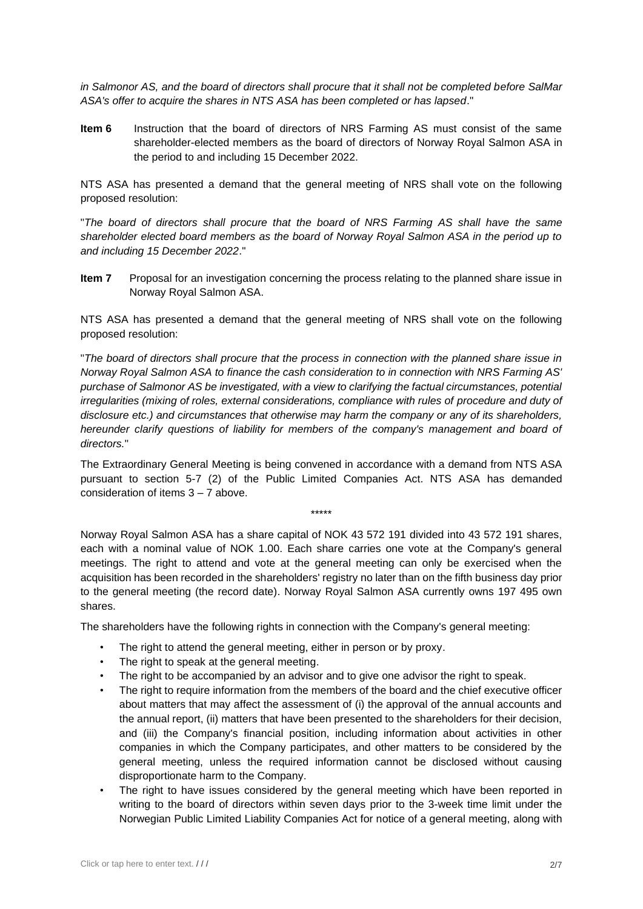*in Salmonor AS, and the board of directors shall procure that it shall not be completed before SalMar ASA's offer to acquire the shares in NTS ASA has been completed or has lapsed*."

**Item 6** Instruction that the board of directors of NRS Farming AS must consist of the same shareholder-elected members as the board of directors of Norway Royal Salmon ASA in the period to and including 15 December 2022.

NTS ASA has presented a demand that the general meeting of NRS shall vote on the following proposed resolution:

"*The board of directors shall procure that the board of NRS Farming AS shall have the same shareholder elected board members as the board of Norway Royal Salmon ASA in the period up to and including 15 December 2022*."

**Item 7** Proposal for an investigation concerning the process relating to the planned share issue in Norway Royal Salmon ASA.

NTS ASA has presented a demand that the general meeting of NRS shall vote on the following proposed resolution:

"*The board of directors shall procure that the process in connection with the planned share issue in Norway Royal Salmon ASA to finance the cash consideration to in connection with NRS Farming AS' purchase of Salmonor AS be investigated, with a view to clarifying the factual circumstances, potential irregularities (mixing of roles, external considerations, compliance with rules of procedure and duty of disclosure etc.) and circumstances that otherwise may harm the company or any of its shareholders, hereunder clarify questions of liability for members of the company's management and board of directors.*"

The Extraordinary General Meeting is being convened in accordance with a demand from NTS ASA pursuant to section 5-7 (2) of the Public Limited Companies Act. NTS ASA has demanded consideration of items 3 – 7 above.

\*\*\*\*\*

Norway Royal Salmon ASA has a share capital of NOK 43 572 191 divided into 43 572 191 shares, each with a nominal value of NOK 1.00. Each share carries one vote at the Company's general meetings. The right to attend and vote at the general meeting can only be exercised when the acquisition has been recorded in the shareholders' registry no later than on the fifth business day prior to the general meeting (the record date). Norway Royal Salmon ASA currently owns 197 495 own shares.

The shareholders have the following rights in connection with the Company's general meeting:

- The right to attend the general meeting, either in person or by proxy.
- The right to speak at the general meeting.
- The right to be accompanied by an advisor and to give one advisor the right to speak.
- The right to require information from the members of the board and the chief executive officer about matters that may affect the assessment of (i) the approval of the annual accounts and the annual report, (ii) matters that have been presented to the shareholders for their decision, and (iii) the Company's financial position, including information about activities in other companies in which the Company participates, and other matters to be considered by the general meeting, unless the required information cannot be disclosed without causing disproportionate harm to the Company.
- The right to have issues considered by the general meeting which have been reported in writing to the board of directors within seven days prior to the 3-week time limit under the Norwegian Public Limited Liability Companies Act for notice of a general meeting, along with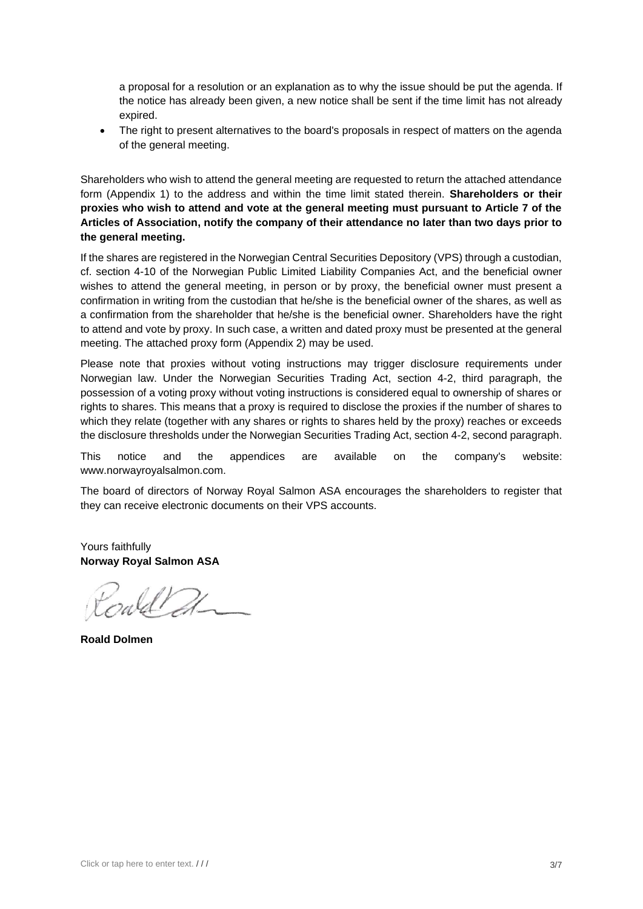a proposal for a resolution or an explanation as to why the issue should be put the agenda. If the notice has already been given, a new notice shall be sent if the time limit has not already expired.

The right to present alternatives to the board's proposals in respect of matters on the agenda of the general meeting.

Shareholders who wish to attend the general meeting are requested to return the attached attendance form (Appendix 1) to the address and within the time limit stated therein. **Shareholders or their proxies who wish to attend and vote at the general meeting must pursuant to Article 7 of the Articles of Association, notify the company of their attendance no later than two days prior to the general meeting.** 

If the shares are registered in the Norwegian Central Securities Depository (VPS) through a custodian, cf. section 4-10 of the Norwegian Public Limited Liability Companies Act, and the beneficial owner wishes to attend the general meeting, in person or by proxy, the beneficial owner must present a confirmation in writing from the custodian that he/she is the beneficial owner of the shares, as well as a confirmation from the shareholder that he/she is the beneficial owner. Shareholders have the right to attend and vote by proxy. In such case, a written and dated proxy must be presented at the general meeting. The attached proxy form (Appendix 2) may be used.

Please note that proxies without voting instructions may trigger disclosure requirements under Norwegian law. Under the Norwegian Securities Trading Act, section 4-2, third paragraph, the possession of a voting proxy without voting instructions is considered equal to ownership of shares or rights to shares. This means that a proxy is required to disclose the proxies if the number of shares to which they relate (together with any shares or rights to shares held by the proxy) reaches or exceeds the disclosure thresholds under the Norwegian Securities Trading Act, section 4-2, second paragraph.

This notice and the appendices are available on the company's website: www.norwayroyalsalmon.com.

The board of directors of Norway Royal Salmon ASA encourages the shareholders to register that they can receive electronic documents on their VPS accounts.

Yours faithfully **Norway Royal Salmon ASA**

rald 21

**Roald Dolmen**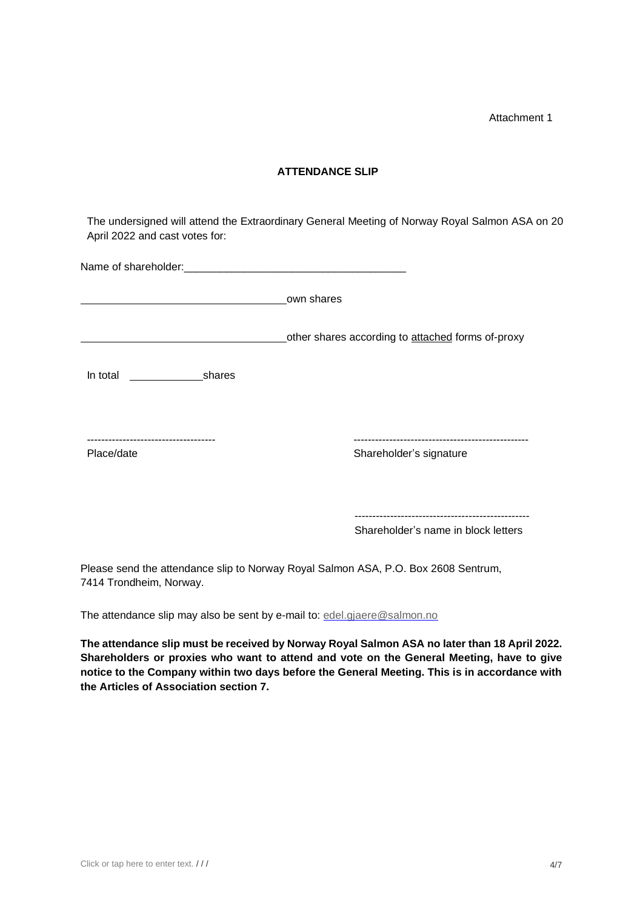Attachment 1

## **ATTENDANCE SLIP**

The undersigned will attend the Extraordinary General Meeting of Norway Royal Salmon ASA on 20 April 2022 and cast votes for:

|                 | own shares                                        |
|-----------------|---------------------------------------------------|
|                 | other shares according to attached forms of-proxy |
| In total shares |                                                   |
| Place/date      | Shareholder's signature                           |
|                 |                                                   |

Shareholder's name in block letters

Please send the attendance slip to Norway Royal Salmon ASA, P.O. Box 2608 Sentrum, 7414 Trondheim, Norway.

The attendance slip may also be sent by e-mail to: [edel.gjaere@salmon.no](mailto:edel.gjaere@salmon.no)

**The attendance slip must be received by Norway Royal Salmon ASA no later than 18 April 2022. Shareholders or proxies who want to attend and vote on the General Meeting, have to give notice to the Company within two days before the General Meeting. This is in accordance with the Articles of Association section 7.**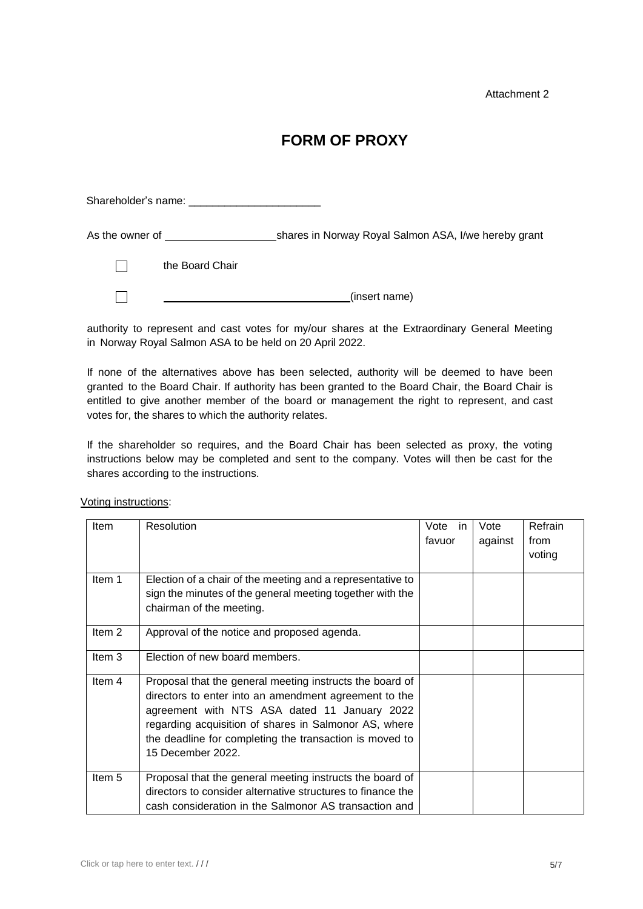Attachment 2

## **FORM OF PROXY**

 Shareholder's name: \_\_\_\_\_\_\_\_\_\_\_\_\_\_\_\_\_\_\_\_\_\_ As the owner of shares in Norway Royal Salmon ASA, I/we hereby grant the Board Chair  $\Box$ 

(insert name)

authority to represent and cast votes for my/our shares at the Extraordinary General Meeting in Norway Royal Salmon ASA to be held on 20 April 2022.

If none of the alternatives above has been selected, authority will be deemed to have been granted to the Board Chair. If authority has been granted to the Board Chair, the Board Chair is entitled to give another member of the board or management the right to represent, and cast votes for, the shares to which the authority relates.

If the shareholder so requires, and the Board Chair has been selected as proxy, the voting instructions below may be completed and sent to the company. Votes will then be cast for the shares according to the instructions.

| <b>Item</b>       | Resolution                                                                                                                                                                                                                                                                                                 | Vote in | Vote    | Refrain        |
|-------------------|------------------------------------------------------------------------------------------------------------------------------------------------------------------------------------------------------------------------------------------------------------------------------------------------------------|---------|---------|----------------|
|                   |                                                                                                                                                                                                                                                                                                            | favuor  | against | from<br>voting |
| Item 1            | Election of a chair of the meeting and a representative to<br>sign the minutes of the general meeting together with the<br>chairman of the meeting.                                                                                                                                                        |         |         |                |
| Item <sub>2</sub> | Approval of the notice and proposed agenda.                                                                                                                                                                                                                                                                |         |         |                |
| Item 3            | Election of new board members.                                                                                                                                                                                                                                                                             |         |         |                |
| Item 4            | Proposal that the general meeting instructs the board of<br>directors to enter into an amendment agreement to the<br>agreement with NTS ASA dated 11 January 2022<br>regarding acquisition of shares in Salmonor AS, where<br>the deadline for completing the transaction is moved to<br>15 December 2022. |         |         |                |
| Item 5            | Proposal that the general meeting instructs the board of<br>directors to consider alternative structures to finance the<br>cash consideration in the Salmonor AS transaction and                                                                                                                           |         |         |                |

Voting instructions:

 $\Box$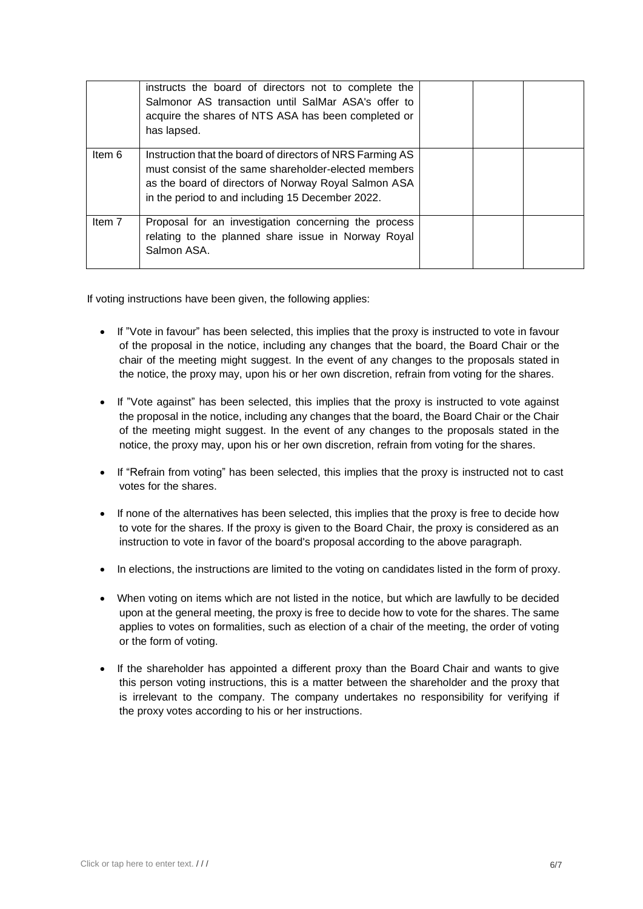|        | instructs the board of directors not to complete the<br>Salmonor AS transaction until SalMar ASA's offer to<br>acquire the shares of NTS ASA has been completed or<br>has lapsed.                                             |  |  |
|--------|-------------------------------------------------------------------------------------------------------------------------------------------------------------------------------------------------------------------------------|--|--|
| Item 6 | Instruction that the board of directors of NRS Farming AS<br>must consist of the same shareholder-elected members<br>as the board of directors of Norway Royal Salmon ASA<br>in the period to and including 15 December 2022. |  |  |
| Item 7 | Proposal for an investigation concerning the process<br>relating to the planned share issue in Norway Royal<br>Salmon ASA.                                                                                                    |  |  |

If voting instructions have been given, the following applies:

- If "Vote in favour" has been selected, this implies that the proxy is instructed to vote in favour of the proposal in the notice, including any changes that the board, the Board Chair or the chair of the meeting might suggest. In the event of any changes to the proposals stated in the notice, the proxy may, upon his or her own discretion, refrain from voting for the shares.
- If "Vote against" has been selected, this implies that the proxy is instructed to vote against the proposal in the notice, including any changes that the board, the Board Chair or the Chair of the meeting might suggest. In the event of any changes to the proposals stated in the notice, the proxy may, upon his or her own discretion, refrain from voting for the shares.
- If "Refrain from voting" has been selected, this implies that the proxy is instructed not to cast votes for the shares.
- If none of the alternatives has been selected, this implies that the proxy is free to decide how to vote for the shares. If the proxy is given to the Board Chair, the proxy is considered as an instruction to vote in favor of the board's proposal according to the above paragraph.
- In elections, the instructions are limited to the voting on candidates listed in the form of proxy.
- When voting on items which are not listed in the notice, but which are lawfully to be decided upon at the general meeting, the proxy is free to decide how to vote for the shares. The same applies to votes on formalities, such as election of a chair of the meeting, the order of voting or the form of voting.
- If the shareholder has appointed a different proxy than the Board Chair and wants to give this person voting instructions, this is a matter between the shareholder and the proxy that is irrelevant to the company. The company undertakes no responsibility for verifying if the proxy votes according to his or her instructions.